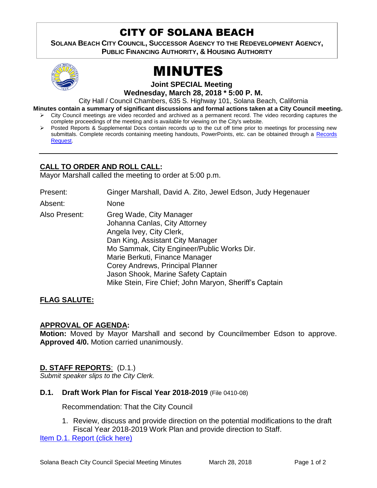# CITY OF SOLANA BEACH

**SOLANA BEACH CITY COUNCIL, SUCCESSOR AGENCY TO THE REDEVELOPMENT AGENCY, PUBLIC FINANCING AUTHORITY, & HOUSING AUTHORITY** 



# MINUTES

**Joint SPECIAL Meeting**

**Wednesday, March 28, 2018 \* 5:00 P. M.** 

City Hall / Council Chambers, 635 S. Highway 101, Solana Beach, California

**Minutes contain a summary of significant discussions and formal actions taken at a City Council meeting.**

- $\triangleright$  City Council meetings are video recorded and archived as a permanent record. The video recording captures the complete proceedings of the meeting and is available for viewing on the City's website.
- $\triangleright$  Posted Reports & Supplemental Docs contain records up to the cut off time prior to meetings for processing new submittals. Complete records containing meeting handouts, PowerPoints, etc. can be obtained through a [Records](http://www.ci.solana-beach.ca.us/index.asp?SEC=F5D45D10-70CE-4291-A27C-7BD633FC6742&Type=B_BASIC)  [Request.](http://www.ci.solana-beach.ca.us/index.asp?SEC=F5D45D10-70CE-4291-A27C-7BD633FC6742&Type=B_BASIC)

### **CALL TO ORDER AND ROLL CALL:**

Mayor Marshall called the meeting to order at 5:00 p.m.

- Present: Ginger Marshall, David A. Zito, Jewel Edson, Judy Hegenauer
- Absent: None
- Also Present: Greg Wade, City Manager Johanna Canlas, City Attorney Angela Ivey, City Clerk, Dan King, Assistant City Manager Mo Sammak, City Engineer/Public Works Dir. Marie Berkuti, Finance Manager Corey Andrews, Principal Planner Jason Shook, Marine Safety Captain Mike Stein, Fire Chief; John Maryon, Sheriff's Captain

## **FLAG SALUTE:**

#### **APPROVAL OF AGENDA:**

**Motion:** Moved by Mayor Marshall and second by Councilmember Edson to approve. **Approved 4/0.** Motion carried unanimously.

#### **D. STAFF REPORTS**: (D.1.)

*Submit speaker slips to the City Clerk.*

#### **D.1. Draft Work Plan for Fiscal Year 2018-2019** (File 0410-08)

Recommendation: That the City Council

1. Review, discuss and provide direction on the potential modifications to the draft Fiscal Year 2018-2019 Work Plan and provide direction to Staff.

[Item D.1. Report \(click here\)](https://solanabeach.govoffice3.com/vertical/Sites/%7B840804C2-F869-4904-9AE3-720581350CE7%7D/uploads/D.1._Report_(click_here)_-_3-28-18.PDF)